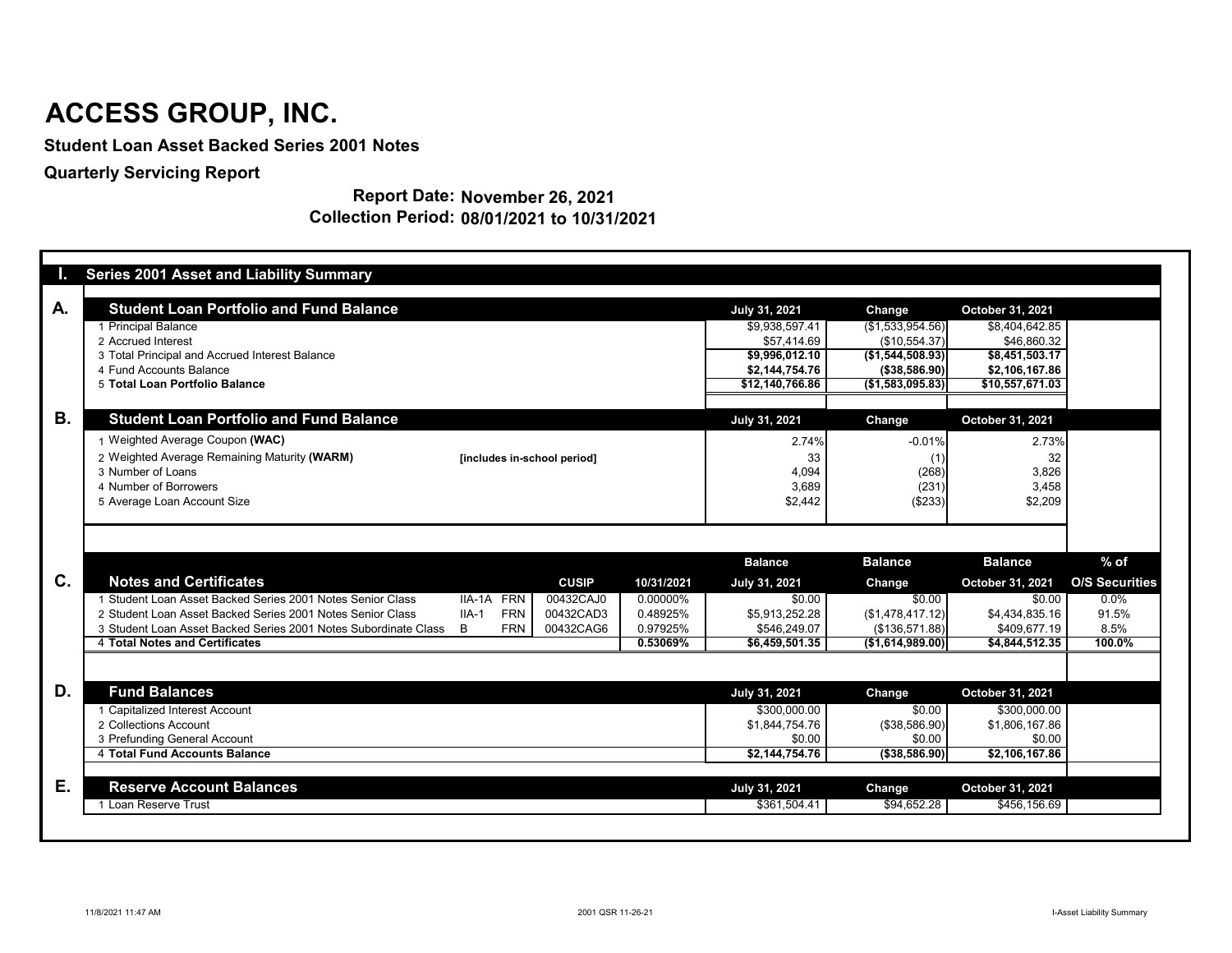| <b>Student Loan Portfolio and Fund Balance</b><br><b>July 31, 2021</b><br>October 31, 2021<br>Change<br>\$9,938,597.41<br>(\$1,533,954.56)<br>\$8,404,642.85<br>1 Principal Balance<br>2 Accrued Interest<br>\$57,414.69<br>(\$10,554.37)<br>\$46,860.32<br>3 Total Principal and Accrued Interest Balance<br>\$8,451,503.17<br>\$9,996,012.10<br>( \$1,544,508.93)<br>4 Fund Accounts Balance<br>\$2,144,754.76<br>(\$38,586.90)<br>\$2,106,167.86<br>\$10,557,671.03<br>5 Total Loan Portfolio Balance<br>\$12,140,766.86<br>(\$1,583,095.83)<br><b>B.</b><br><b>Student Loan Portfolio and Fund Balance</b><br><b>July 31, 2021</b><br>October 31, 2021<br>Change<br>1 Weighted Average Coupon (WAC)<br>$-0.01%$<br>2.74%<br>2.73%<br>2 Weighted Average Remaining Maturity (WARM)<br>33<br>32<br>[includes in-school period]<br>(1)<br>(268)<br>4,094<br>3,826<br>3 Number of Loans<br>3,689<br>(231)<br>3,458<br>4 Number of Borrowers<br>\$2,209<br>\$2,442<br>5 Average Loan Account Size<br>(\$233)<br>$%$ of<br><b>Balance</b><br><b>Balance</b><br><b>Balance</b><br>C.<br><b>Notes and Certificates</b><br><b>CUSIP</b><br>10/31/2021<br><b>July 31, 2021</b><br>October 31, 2021<br><b>Change</b><br>1 Student Loan Asset Backed Series 2001 Notes Senior Class<br>00432CAJ0<br>IIA-1A FRN<br>0.00000%<br>\$0.00<br>$0.0\%$<br>\$0.00<br>\$0.00<br>2 Student Loan Asset Backed Series 2001 Notes Senior Class<br>$IIA-1$<br><b>FRN</b><br>00432CAD3<br>0.48925%<br>(\$1,478,417.12)<br>\$5,913,252.28<br>\$4,434,835.16<br>91.5%<br><b>FRN</b><br>8.5%<br>3 Student Loan Asset Backed Series 2001 Notes Subordinate Class<br>B<br>00432CAG6<br>0.97925%<br>\$546,249.07<br>(\$136,571.88)<br>\$409,677.19<br>100.0%<br><b>4 Total Notes and Certificates</b><br>0.53069%<br>\$6,459,501.35<br>(\$1,614,989.00)<br>\$4,844,512.35<br>D.<br><b>Fund Balances</b><br><b>July 31, 2021</b><br>October 31, 2021<br><b>Change</b><br>1 Capitalized Interest Account<br>\$300,000.00<br>\$0.00<br>\$300,000.00<br>\$1,844,754.76<br>(\$38,586.90)<br>\$1,806,167.86<br>2 Collections Account<br>\$0.00<br>3 Prefunding General Account<br>\$0.00<br>\$0.00<br>4 Total Fund Accounts Balance<br>$\sqrt{2,144,754.76}$<br>\$2,106,167.86<br>( \$38,586.90)<br>Е.<br><b>Reserve Account Balances</b><br><b>July 31, 2021</b><br>October 31, 2021<br>Change<br>1 Loan Reserve Trust<br>\$94,652.28<br>\$456,156.69<br>\$361,504.41 | Ы  | <b>Series 2001 Asset and Liability Summary</b> |  |  |  |                       |
|-------------------------------------------------------------------------------------------------------------------------------------------------------------------------------------------------------------------------------------------------------------------------------------------------------------------------------------------------------------------------------------------------------------------------------------------------------------------------------------------------------------------------------------------------------------------------------------------------------------------------------------------------------------------------------------------------------------------------------------------------------------------------------------------------------------------------------------------------------------------------------------------------------------------------------------------------------------------------------------------------------------------------------------------------------------------------------------------------------------------------------------------------------------------------------------------------------------------------------------------------------------------------------------------------------------------------------------------------------------------------------------------------------------------------------------------------------------------------------------------------------------------------------------------------------------------------------------------------------------------------------------------------------------------------------------------------------------------------------------------------------------------------------------------------------------------------------------------------------------------------------------------------------------------------------------------------------------------------------------------------------------------------------------------------------------------------------------------------------------------------------------------------------------------------------------------------------------------------------------------------------------------------------------------------------------------------------------------------------------------------------------------------------------------------------------|----|------------------------------------------------|--|--|--|-----------------------|
|                                                                                                                                                                                                                                                                                                                                                                                                                                                                                                                                                                                                                                                                                                                                                                                                                                                                                                                                                                                                                                                                                                                                                                                                                                                                                                                                                                                                                                                                                                                                                                                                                                                                                                                                                                                                                                                                                                                                                                                                                                                                                                                                                                                                                                                                                                                                                                                                                                     | A. |                                                |  |  |  |                       |
|                                                                                                                                                                                                                                                                                                                                                                                                                                                                                                                                                                                                                                                                                                                                                                                                                                                                                                                                                                                                                                                                                                                                                                                                                                                                                                                                                                                                                                                                                                                                                                                                                                                                                                                                                                                                                                                                                                                                                                                                                                                                                                                                                                                                                                                                                                                                                                                                                                     |    |                                                |  |  |  |                       |
|                                                                                                                                                                                                                                                                                                                                                                                                                                                                                                                                                                                                                                                                                                                                                                                                                                                                                                                                                                                                                                                                                                                                                                                                                                                                                                                                                                                                                                                                                                                                                                                                                                                                                                                                                                                                                                                                                                                                                                                                                                                                                                                                                                                                                                                                                                                                                                                                                                     |    |                                                |  |  |  |                       |
|                                                                                                                                                                                                                                                                                                                                                                                                                                                                                                                                                                                                                                                                                                                                                                                                                                                                                                                                                                                                                                                                                                                                                                                                                                                                                                                                                                                                                                                                                                                                                                                                                                                                                                                                                                                                                                                                                                                                                                                                                                                                                                                                                                                                                                                                                                                                                                                                                                     |    |                                                |  |  |  |                       |
|                                                                                                                                                                                                                                                                                                                                                                                                                                                                                                                                                                                                                                                                                                                                                                                                                                                                                                                                                                                                                                                                                                                                                                                                                                                                                                                                                                                                                                                                                                                                                                                                                                                                                                                                                                                                                                                                                                                                                                                                                                                                                                                                                                                                                                                                                                                                                                                                                                     |    |                                                |  |  |  |                       |
|                                                                                                                                                                                                                                                                                                                                                                                                                                                                                                                                                                                                                                                                                                                                                                                                                                                                                                                                                                                                                                                                                                                                                                                                                                                                                                                                                                                                                                                                                                                                                                                                                                                                                                                                                                                                                                                                                                                                                                                                                                                                                                                                                                                                                                                                                                                                                                                                                                     |    |                                                |  |  |  |                       |
|                                                                                                                                                                                                                                                                                                                                                                                                                                                                                                                                                                                                                                                                                                                                                                                                                                                                                                                                                                                                                                                                                                                                                                                                                                                                                                                                                                                                                                                                                                                                                                                                                                                                                                                                                                                                                                                                                                                                                                                                                                                                                                                                                                                                                                                                                                                                                                                                                                     |    |                                                |  |  |  |                       |
|                                                                                                                                                                                                                                                                                                                                                                                                                                                                                                                                                                                                                                                                                                                                                                                                                                                                                                                                                                                                                                                                                                                                                                                                                                                                                                                                                                                                                                                                                                                                                                                                                                                                                                                                                                                                                                                                                                                                                                                                                                                                                                                                                                                                                                                                                                                                                                                                                                     |    |                                                |  |  |  |                       |
|                                                                                                                                                                                                                                                                                                                                                                                                                                                                                                                                                                                                                                                                                                                                                                                                                                                                                                                                                                                                                                                                                                                                                                                                                                                                                                                                                                                                                                                                                                                                                                                                                                                                                                                                                                                                                                                                                                                                                                                                                                                                                                                                                                                                                                                                                                                                                                                                                                     |    |                                                |  |  |  |                       |
|                                                                                                                                                                                                                                                                                                                                                                                                                                                                                                                                                                                                                                                                                                                                                                                                                                                                                                                                                                                                                                                                                                                                                                                                                                                                                                                                                                                                                                                                                                                                                                                                                                                                                                                                                                                                                                                                                                                                                                                                                                                                                                                                                                                                                                                                                                                                                                                                                                     |    |                                                |  |  |  |                       |
|                                                                                                                                                                                                                                                                                                                                                                                                                                                                                                                                                                                                                                                                                                                                                                                                                                                                                                                                                                                                                                                                                                                                                                                                                                                                                                                                                                                                                                                                                                                                                                                                                                                                                                                                                                                                                                                                                                                                                                                                                                                                                                                                                                                                                                                                                                                                                                                                                                     |    |                                                |  |  |  |                       |
|                                                                                                                                                                                                                                                                                                                                                                                                                                                                                                                                                                                                                                                                                                                                                                                                                                                                                                                                                                                                                                                                                                                                                                                                                                                                                                                                                                                                                                                                                                                                                                                                                                                                                                                                                                                                                                                                                                                                                                                                                                                                                                                                                                                                                                                                                                                                                                                                                                     |    |                                                |  |  |  |                       |
|                                                                                                                                                                                                                                                                                                                                                                                                                                                                                                                                                                                                                                                                                                                                                                                                                                                                                                                                                                                                                                                                                                                                                                                                                                                                                                                                                                                                                                                                                                                                                                                                                                                                                                                                                                                                                                                                                                                                                                                                                                                                                                                                                                                                                                                                                                                                                                                                                                     |    |                                                |  |  |  |                       |
|                                                                                                                                                                                                                                                                                                                                                                                                                                                                                                                                                                                                                                                                                                                                                                                                                                                                                                                                                                                                                                                                                                                                                                                                                                                                                                                                                                                                                                                                                                                                                                                                                                                                                                                                                                                                                                                                                                                                                                                                                                                                                                                                                                                                                                                                                                                                                                                                                                     |    |                                                |  |  |  |                       |
|                                                                                                                                                                                                                                                                                                                                                                                                                                                                                                                                                                                                                                                                                                                                                                                                                                                                                                                                                                                                                                                                                                                                                                                                                                                                                                                                                                                                                                                                                                                                                                                                                                                                                                                                                                                                                                                                                                                                                                                                                                                                                                                                                                                                                                                                                                                                                                                                                                     |    |                                                |  |  |  |                       |
|                                                                                                                                                                                                                                                                                                                                                                                                                                                                                                                                                                                                                                                                                                                                                                                                                                                                                                                                                                                                                                                                                                                                                                                                                                                                                                                                                                                                                                                                                                                                                                                                                                                                                                                                                                                                                                                                                                                                                                                                                                                                                                                                                                                                                                                                                                                                                                                                                                     |    |                                                |  |  |  | <b>O/S Securities</b> |
|                                                                                                                                                                                                                                                                                                                                                                                                                                                                                                                                                                                                                                                                                                                                                                                                                                                                                                                                                                                                                                                                                                                                                                                                                                                                                                                                                                                                                                                                                                                                                                                                                                                                                                                                                                                                                                                                                                                                                                                                                                                                                                                                                                                                                                                                                                                                                                                                                                     |    |                                                |  |  |  |                       |
|                                                                                                                                                                                                                                                                                                                                                                                                                                                                                                                                                                                                                                                                                                                                                                                                                                                                                                                                                                                                                                                                                                                                                                                                                                                                                                                                                                                                                                                                                                                                                                                                                                                                                                                                                                                                                                                                                                                                                                                                                                                                                                                                                                                                                                                                                                                                                                                                                                     |    |                                                |  |  |  |                       |
|                                                                                                                                                                                                                                                                                                                                                                                                                                                                                                                                                                                                                                                                                                                                                                                                                                                                                                                                                                                                                                                                                                                                                                                                                                                                                                                                                                                                                                                                                                                                                                                                                                                                                                                                                                                                                                                                                                                                                                                                                                                                                                                                                                                                                                                                                                                                                                                                                                     |    |                                                |  |  |  |                       |
|                                                                                                                                                                                                                                                                                                                                                                                                                                                                                                                                                                                                                                                                                                                                                                                                                                                                                                                                                                                                                                                                                                                                                                                                                                                                                                                                                                                                                                                                                                                                                                                                                                                                                                                                                                                                                                                                                                                                                                                                                                                                                                                                                                                                                                                                                                                                                                                                                                     |    |                                                |  |  |  |                       |
|                                                                                                                                                                                                                                                                                                                                                                                                                                                                                                                                                                                                                                                                                                                                                                                                                                                                                                                                                                                                                                                                                                                                                                                                                                                                                                                                                                                                                                                                                                                                                                                                                                                                                                                                                                                                                                                                                                                                                                                                                                                                                                                                                                                                                                                                                                                                                                                                                                     |    |                                                |  |  |  |                       |
|                                                                                                                                                                                                                                                                                                                                                                                                                                                                                                                                                                                                                                                                                                                                                                                                                                                                                                                                                                                                                                                                                                                                                                                                                                                                                                                                                                                                                                                                                                                                                                                                                                                                                                                                                                                                                                                                                                                                                                                                                                                                                                                                                                                                                                                                                                                                                                                                                                     |    |                                                |  |  |  |                       |
|                                                                                                                                                                                                                                                                                                                                                                                                                                                                                                                                                                                                                                                                                                                                                                                                                                                                                                                                                                                                                                                                                                                                                                                                                                                                                                                                                                                                                                                                                                                                                                                                                                                                                                                                                                                                                                                                                                                                                                                                                                                                                                                                                                                                                                                                                                                                                                                                                                     |    |                                                |  |  |  |                       |
|                                                                                                                                                                                                                                                                                                                                                                                                                                                                                                                                                                                                                                                                                                                                                                                                                                                                                                                                                                                                                                                                                                                                                                                                                                                                                                                                                                                                                                                                                                                                                                                                                                                                                                                                                                                                                                                                                                                                                                                                                                                                                                                                                                                                                                                                                                                                                                                                                                     |    |                                                |  |  |  |                       |
|                                                                                                                                                                                                                                                                                                                                                                                                                                                                                                                                                                                                                                                                                                                                                                                                                                                                                                                                                                                                                                                                                                                                                                                                                                                                                                                                                                                                                                                                                                                                                                                                                                                                                                                                                                                                                                                                                                                                                                                                                                                                                                                                                                                                                                                                                                                                                                                                                                     |    |                                                |  |  |  |                       |
|                                                                                                                                                                                                                                                                                                                                                                                                                                                                                                                                                                                                                                                                                                                                                                                                                                                                                                                                                                                                                                                                                                                                                                                                                                                                                                                                                                                                                                                                                                                                                                                                                                                                                                                                                                                                                                                                                                                                                                                                                                                                                                                                                                                                                                                                                                                                                                                                                                     |    |                                                |  |  |  |                       |
|                                                                                                                                                                                                                                                                                                                                                                                                                                                                                                                                                                                                                                                                                                                                                                                                                                                                                                                                                                                                                                                                                                                                                                                                                                                                                                                                                                                                                                                                                                                                                                                                                                                                                                                                                                                                                                                                                                                                                                                                                                                                                                                                                                                                                                                                                                                                                                                                                                     |    |                                                |  |  |  |                       |
|                                                                                                                                                                                                                                                                                                                                                                                                                                                                                                                                                                                                                                                                                                                                                                                                                                                                                                                                                                                                                                                                                                                                                                                                                                                                                                                                                                                                                                                                                                                                                                                                                                                                                                                                                                                                                                                                                                                                                                                                                                                                                                                                                                                                                                                                                                                                                                                                                                     |    |                                                |  |  |  |                       |

#### **Report Date: November 26, 2021 Collection Period: 08/01/2021 to 10/31/2021**

## **ACCESS GROUP, INC.**

**Student Loan Asset Backed Series 2001 Notes**

**Quarterly Servicing Report**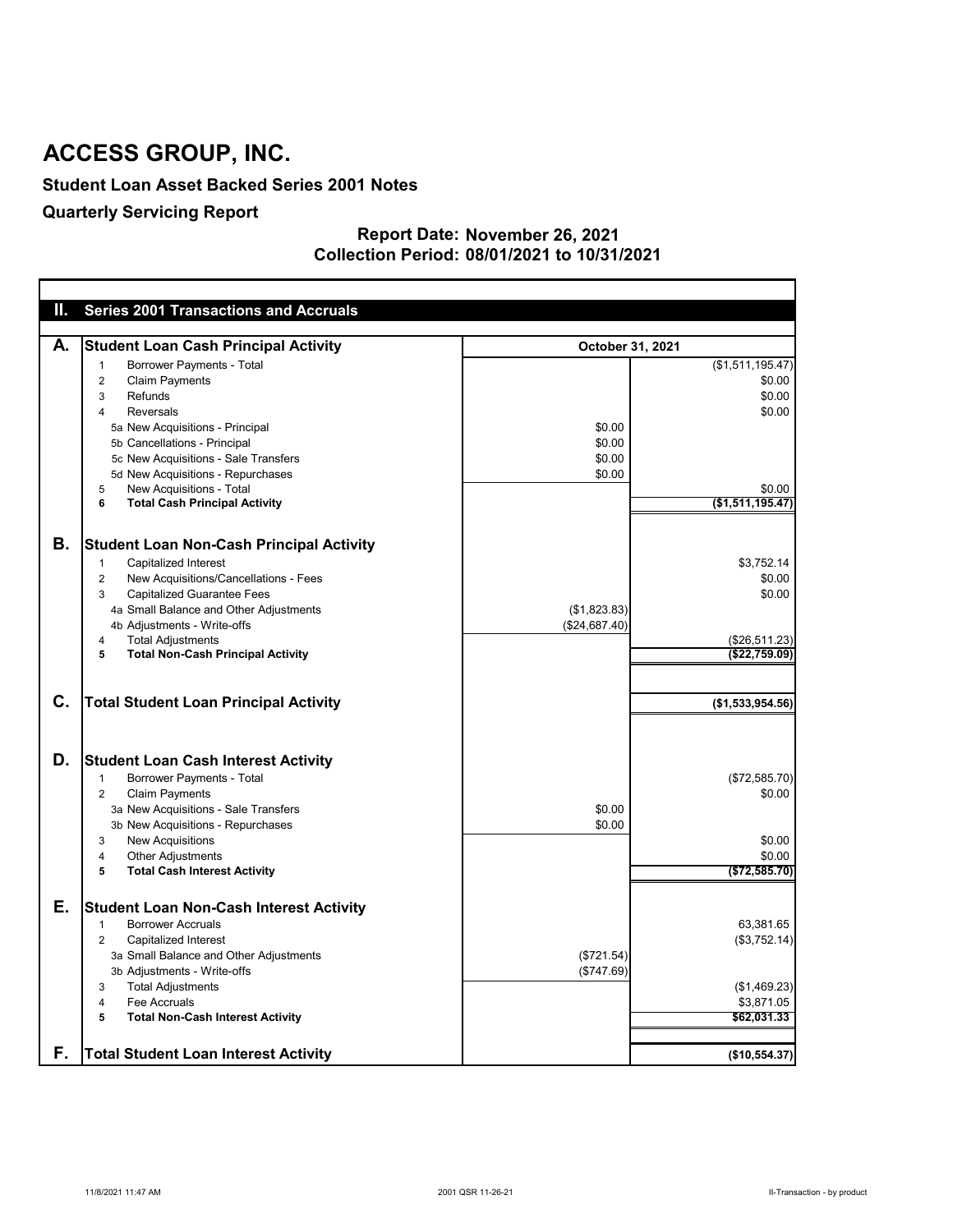#### **Student Loan Asset Backed Series 2001 Notes**

### **Quarterly Servicing Report**

#### **November 26, 2021 Report Date: 08/01/2021 to 10/31/2021 Collection Period:**

| Ш.             | <b>Series 2001 Transactions and Accruals</b>            |                  |                  |
|----------------|---------------------------------------------------------|------------------|------------------|
|                |                                                         |                  |                  |
| А.             | <b>Student Loan Cash Principal Activity</b>             | October 31, 2021 |                  |
|                | <b>Borrower Payments - Total</b><br>-1                  |                  | (\$1,511,195.47) |
|                | <b>Claim Payments</b><br>2                              |                  | \$0.00           |
|                | <b>Refunds</b><br>3                                     |                  | \$0.00           |
|                | <b>Reversals</b><br>4                                   |                  | \$0.00           |
|                | 5a New Acquisitions - Principal                         | \$0.00           |                  |
|                | 5b Cancellations - Principal                            | \$0.00           |                  |
|                | 5c New Acquisitions - Sale Transfers                    | \$0.00           |                  |
|                | 5d New Acquisitions - Repurchases                       | \$0.00           |                  |
|                | New Acquisitions - Total<br>5                           |                  | \$0.00           |
|                | <b>Total Cash Principal Activity</b><br>6               |                  | (\$1,511,195.47) |
|                |                                                         |                  |                  |
| Β.             | <b>Student Loan Non-Cash Principal Activity</b>         |                  |                  |
|                | <b>Capitalized Interest</b><br>$\mathbf 1$              |                  | \$3,752.14       |
|                | New Acquisitions/Cancellations - Fees<br>$\overline{2}$ |                  | \$0.00           |
|                | <b>Capitalized Guarantee Fees</b><br>3                  |                  | \$0.00           |
|                | 4a Small Balance and Other Adjustments                  | (\$1,823.83)     |                  |
|                | 4b Adjustments - Write-offs                             | (\$24,687.40)    |                  |
|                | <b>Total Adjustments</b><br>4                           |                  | (\$26,511.23)    |
|                | <b>Total Non-Cash Principal Activity</b><br>5           |                  | (\$22,759.09)    |
| $\mathbf{C}$ . |                                                         |                  |                  |
|                | <b>Total Student Loan Principal Activity</b>            |                  | (\$1,533,954.56) |
|                |                                                         |                  |                  |
| D.             | <b>Student Loan Cash Interest Activity</b>              |                  |                  |
|                | <b>Borrower Payments - Total</b><br>-1                  |                  | (\$72,585.70)    |
|                | <b>Claim Payments</b><br>$\overline{2}$                 |                  | \$0.00           |
|                | 3a New Acquisitions - Sale Transfers                    | \$0.00           |                  |
|                | 3b New Acquisitions - Repurchases                       | \$0.00           |                  |
|                | <b>New Acquisitions</b><br>3                            |                  | \$0.00           |
|                | <b>Other Adjustments</b><br>4                           |                  | \$0.00           |
|                | <b>Total Cash Interest Activity</b><br>5                |                  | (\$72,585.70)    |
|                |                                                         |                  |                  |
| Е.             | <b>Student Loan Non-Cash Interest Activity</b>          |                  |                  |
|                | <b>Borrower Accruals</b><br>1                           |                  | 63,381.65        |
|                | <b>Capitalized Interest</b><br>2                        |                  | (\$3,752.14)     |
|                | 3a Small Balance and Other Adjustments                  | (\$721.54)       |                  |
|                | 3b Adjustments - Write-offs                             | (\$747.69)       |                  |
|                | <b>Total Adjustments</b><br>3                           |                  | (\$1,469.23)     |
|                | Fee Accruals<br>4                                       |                  | \$3,871.05       |
|                | <b>Total Non-Cash Interest Activity</b><br>5            |                  | \$62,031.33      |
|                |                                                         |                  |                  |
| F.             | <b>Total Student Loan Interest Activity</b>             |                  | (\$10,554.37)    |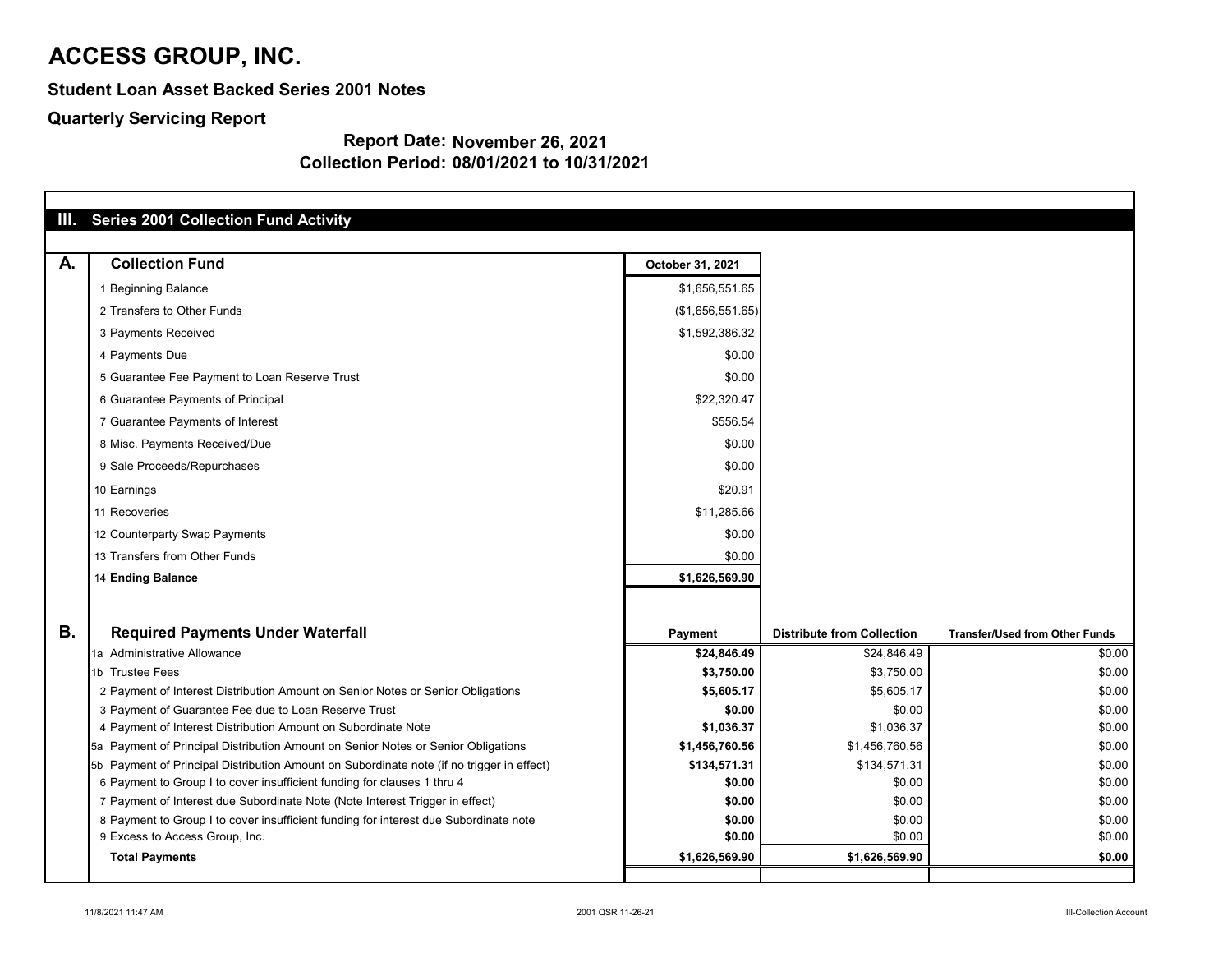**Student Loan Asset Backed Series 2001 Notes**

**Quarterly Servicing Report**

|           | III. Series 2001 Collection Fund Activity                                                 |                  |                                   |                                       |
|-----------|-------------------------------------------------------------------------------------------|------------------|-----------------------------------|---------------------------------------|
| A.        | <b>Collection Fund</b>                                                                    | October 31, 2021 |                                   |                                       |
|           | 1 Beginning Balance                                                                       | \$1,656,551.65   |                                   |                                       |
|           | 2 Transfers to Other Funds                                                                | (\$1,656,551.65) |                                   |                                       |
|           | 3 Payments Received                                                                       | \$1,592,386.32   |                                   |                                       |
|           | 4 Payments Due                                                                            | \$0.00           |                                   |                                       |
|           | 5 Guarantee Fee Payment to Loan Reserve Trust                                             | \$0.00           |                                   |                                       |
|           | 6 Guarantee Payments of Principal                                                         | \$22,320.47      |                                   |                                       |
|           | 7 Guarantee Payments of Interest                                                          | \$556.54         |                                   |                                       |
|           | 8 Misc. Payments Received/Due                                                             | \$0.00           |                                   |                                       |
|           | 9 Sale Proceeds/Repurchases                                                               | \$0.00           |                                   |                                       |
|           | 10 Earnings                                                                               | \$20.91          |                                   |                                       |
|           | 11 Recoveries                                                                             | \$11,285.66      |                                   |                                       |
|           | 12 Counterparty Swap Payments                                                             | \$0.00           |                                   |                                       |
|           | 13 Transfers from Other Funds                                                             | \$0.00           |                                   |                                       |
|           | 14 Ending Balance                                                                         | \$1,626,569.90   |                                   |                                       |
|           |                                                                                           |                  |                                   |                                       |
| <b>B.</b> | <b>Required Payments Under Waterfall</b>                                                  | <b>Payment</b>   | <b>Distribute from Collection</b> | <b>Transfer/Used from Other Funds</b> |
|           | 1a Administrative Allowance                                                               | \$24,846.49      | \$24,846.49                       | \$0.00                                |
|           | 1b Trustee Fees                                                                           | \$3,750.00       | \$3,750.00                        | \$0.00                                |
|           | 2 Payment of Interest Distribution Amount on Senior Notes or Senior Obligations           | \$5,605.17       | \$5,605.17                        | \$0.00                                |
|           | 3 Payment of Guarantee Fee due to Loan Reserve Trust                                      | \$0.00           | \$0.00                            | \$0.00                                |
|           | 4 Payment of Interest Distribution Amount on Subordinate Note                             | \$1,036.37       | \$1,036.37                        | \$0.00                                |
|           | 5a Payment of Principal Distribution Amount on Senior Notes or Senior Obligations         | \$1,456,760.56   | \$1,456,760.56                    | \$0.00                                |
|           | 5b Payment of Principal Distribution Amount on Subordinate note (if no trigger in effect) | \$134,571.31     | \$134,571.31                      | \$0.00                                |
|           | 6 Payment to Group I to cover insufficient funding for clauses 1 thru 4                   | \$0.00           | \$0.00                            | \$0.00                                |
|           | 7 Payment of Interest due Subordinate Note (Note Interest Trigger in effect)              | \$0.00           | \$0.00                            | \$0.00                                |
|           | 8 Payment to Group I to cover insufficient funding for interest due Subordinate note      | \$0.00           | \$0.00                            | \$0.00                                |
|           | 9 Excess to Access Group, Inc.                                                            | \$0.00           | \$0.00                            | \$0.00                                |
|           | <b>Total Payments</b>                                                                     | \$1,626,569.90   | \$1,626,569.90                    | \$0.00                                |
|           |                                                                                           |                  |                                   |                                       |

| nsfer/Used from Other Funds |                  |
|-----------------------------|------------------|
|                             | \$0.00           |
|                             | \$0.00           |
|                             | \$0.00           |
|                             | \$0.00           |
|                             | \$0.00           |
|                             | \$0.00           |
|                             | \$0.00           |
|                             | \$0.00           |
|                             | \$0.00           |
|                             | \$0.00<br>\$0.00 |
|                             | \$0.00           |
|                             |                  |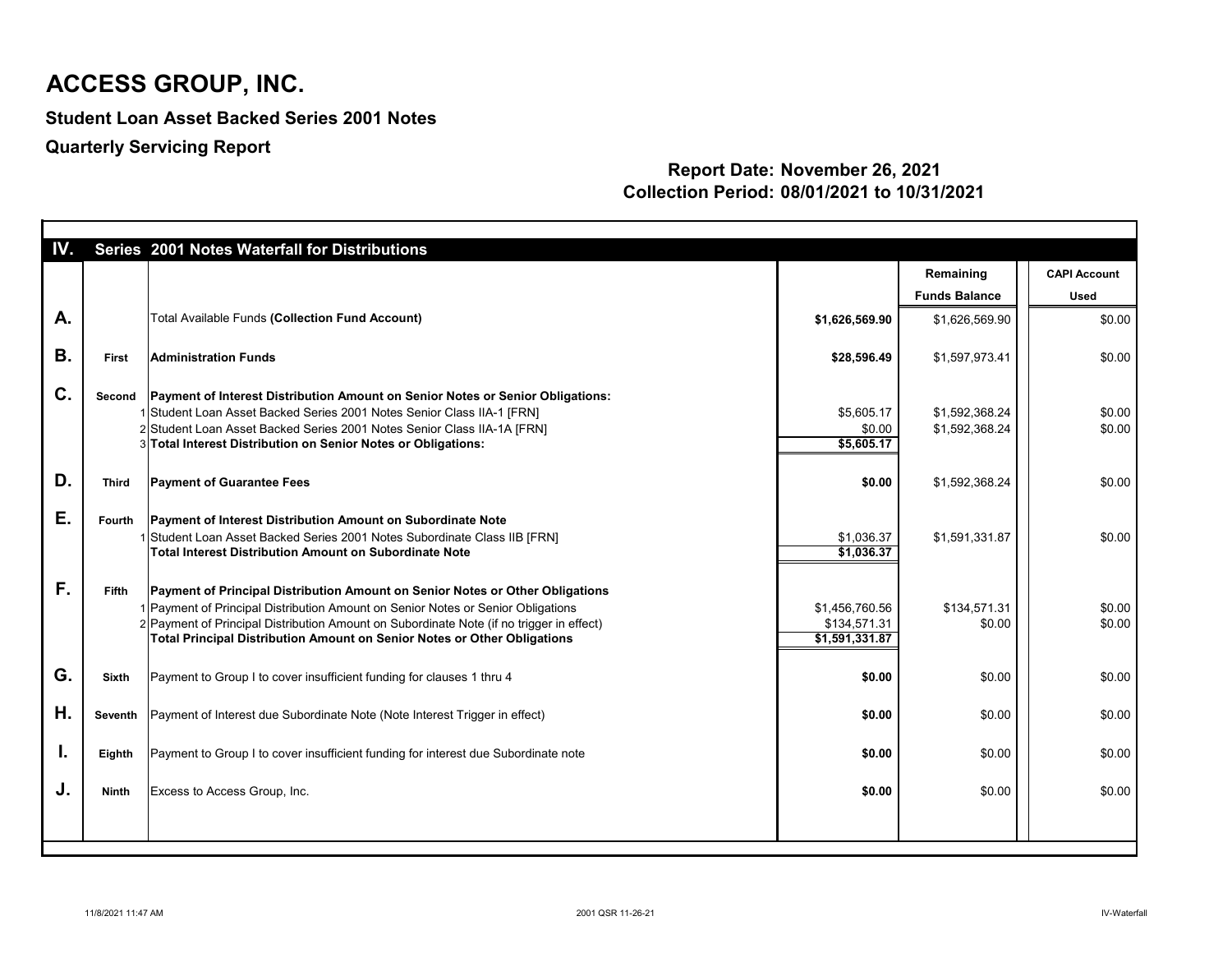**Student Loan Asset Backed Series 2001 Notes**

**Quarterly Servicing Report**

| IV.       |               | Series 2001 Notes Waterfall for Distributions                                                                                                                                                                                                                                                                                                    |                                                  |                        |                     |
|-----------|---------------|--------------------------------------------------------------------------------------------------------------------------------------------------------------------------------------------------------------------------------------------------------------------------------------------------------------------------------------------------|--------------------------------------------------|------------------------|---------------------|
|           |               |                                                                                                                                                                                                                                                                                                                                                  |                                                  | Remaining              | <b>CAPI Account</b> |
|           |               |                                                                                                                                                                                                                                                                                                                                                  |                                                  | <b>Funds Balance</b>   | <b>Used</b>         |
| A.        |               | <b>Total Available Funds (Collection Fund Account)</b>                                                                                                                                                                                                                                                                                           | \$1,626,569.90                                   | \$1,626,569.90         | \$0.00              |
| <b>B.</b> | <b>First</b>  | <b>Administration Funds</b>                                                                                                                                                                                                                                                                                                                      | \$28,596.49                                      | \$1,597,973.41         | \$0.00              |
| C.        | Second        | Payment of Interest Distribution Amount on Senior Notes or Senior Obligations:<br>1 Student Loan Asset Backed Series 2001 Notes Senior Class IIA-1 [FRN]                                                                                                                                                                                         | \$5,605.17                                       | \$1,592,368.24         | \$0.00              |
|           |               | 2 Student Loan Asset Backed Series 2001 Notes Senior Class IIA-1A [FRN]<br>3 Total Interest Distribution on Senior Notes or Obligations:                                                                                                                                                                                                         | \$0.00<br>\$5,605.17                             | \$1,592,368.24         | \$0.00              |
|           |               |                                                                                                                                                                                                                                                                                                                                                  |                                                  |                        |                     |
| D.        | <b>Third</b>  | <b>Payment of Guarantee Fees</b>                                                                                                                                                                                                                                                                                                                 | \$0.00                                           | \$1,592,368.24         | \$0.00              |
| Ε.        | <b>Fourth</b> | <b>Payment of Interest Distribution Amount on Subordinate Note</b>                                                                                                                                                                                                                                                                               |                                                  |                        |                     |
|           |               | 1 Student Loan Asset Backed Series 2001 Notes Subordinate Class IIB [FRN]<br>Total Interest Distribution Amount on Subordinate Note                                                                                                                                                                                                              | \$1,036.37<br>\$1,036.37                         | \$1,591,331.87         | \$0.00              |
| F.        | <b>Fifth</b>  | <b>Payment of Principal Distribution Amount on Senior Notes or Other Obligations</b><br>1 Payment of Principal Distribution Amount on Senior Notes or Senior Obligations<br>2 Payment of Principal Distribution Amount on Subordinate Note (if no trigger in effect)<br>Total Principal Distribution Amount on Senior Notes or Other Obligations | \$1,456,760.56<br>\$134,571.31<br>\$1,591,331.87 | \$134,571.31<br>\$0.00 | \$0.00<br>\$0.00    |
| G.        | <b>Sixth</b>  | Payment to Group I to cover insufficient funding for clauses 1 thru 4                                                                                                                                                                                                                                                                            | \$0.00                                           | \$0.00                 | \$0.00              |
| Н.        |               | Seventh   Payment of Interest due Subordinate Note (Note Interest Trigger in effect)                                                                                                                                                                                                                                                             | \$0.00                                           | \$0.00                 | \$0.00              |
| I.        | Eighth        | Payment to Group I to cover insufficient funding for interest due Subordinate note                                                                                                                                                                                                                                                               | \$0.00                                           | \$0.00                 | \$0.00              |
| J.        | <b>Ninth</b>  | Excess to Access Group, Inc.                                                                                                                                                                                                                                                                                                                     | \$0.00                                           | \$0.00                 | \$0.00              |
|           |               |                                                                                                                                                                                                                                                                                                                                                  |                                                  |                        |                     |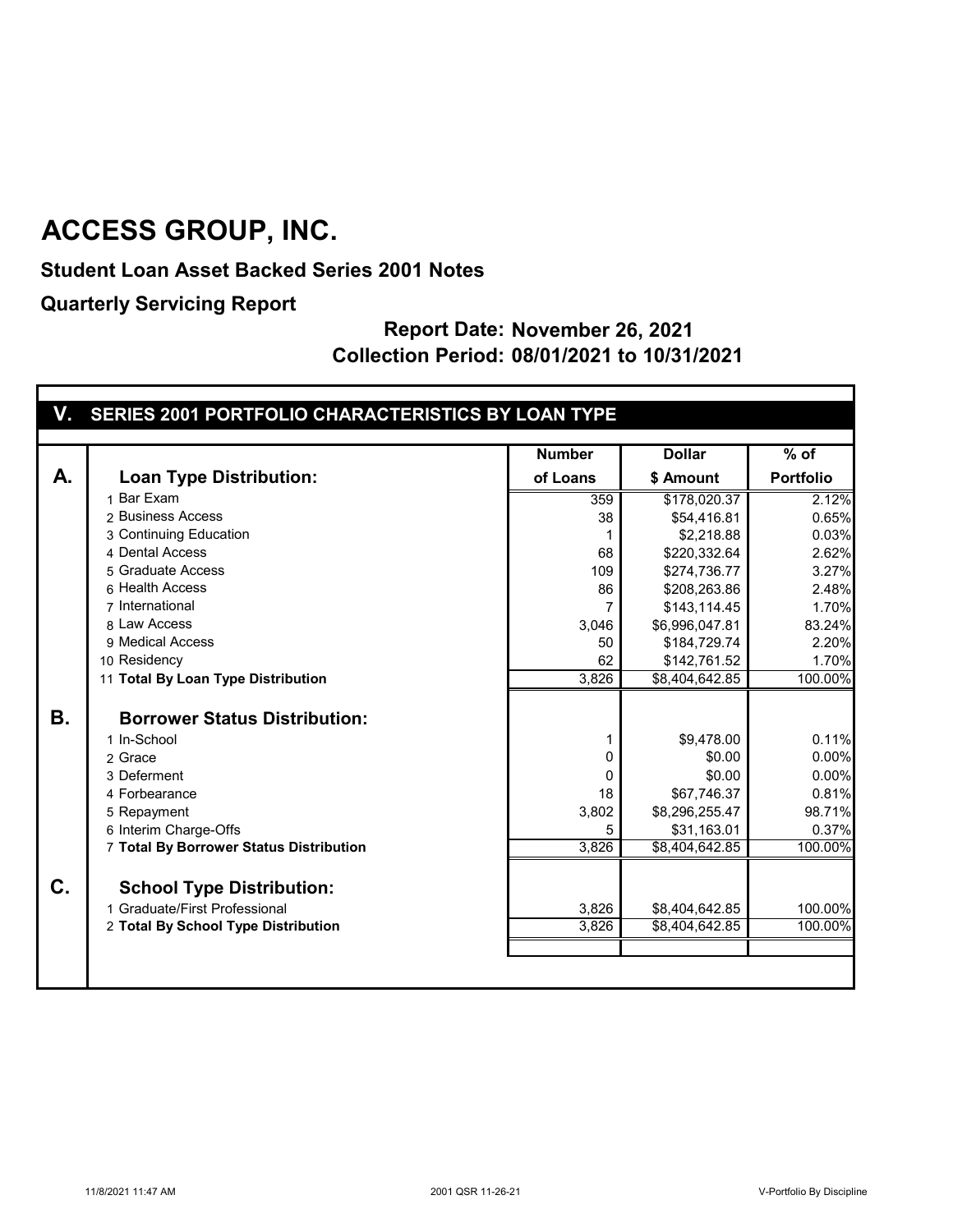**Student Loan Asset Backed Series 2001 Notes**

**Quarterly Servicing Report**

|  |  | V. SERIES 2001 PORTFOLIO CHARACTERISTICS BY LOAN TYPE |
|--|--|-------------------------------------------------------|
|  |  |                                                       |
|  |  |                                                       |

|           |                                                                                                          | <b>Number</b>  | <b>Dollar</b>                    | $%$ of                  |
|-----------|----------------------------------------------------------------------------------------------------------|----------------|----------------------------------|-------------------------|
| А.        | <b>Loan Type Distribution:</b>                                                                           | of Loans       | \$ Amount                        | <b>Portfolio</b>        |
|           | 1 Bar Exam                                                                                               | 359            | \$178,020.37                     | 2.12%                   |
|           | 2 Business Access                                                                                        | 38             | \$54,416.81                      | 0.65%                   |
|           | 3 Continuing Education                                                                                   |                | \$2,218.88                       | 0.03%                   |
|           | 4 Dental Access                                                                                          | 68             | \$220,332.64                     | 2.62%                   |
|           | 5 Graduate Access                                                                                        | 109            | \$274,736.77                     | 3.27%                   |
|           | 6 Health Access                                                                                          | 86             | \$208,263.86                     | 2.48%                   |
|           | 7 International                                                                                          | 7              | \$143,114.45                     | 1.70%                   |
|           | 8 Law Access                                                                                             | 3,046          | \$6,996,047.81                   | 83.24%                  |
|           | 9 Medical Access                                                                                         | 50             | \$184,729.74                     | 2.20%                   |
|           | 10 Residency                                                                                             | 62             | \$142,761.52                     | 1.70%                   |
|           | 11 Total By Loan Type Distribution                                                                       | 3,826          | \$8,404,642.85                   | 100.00%                 |
| <b>B.</b> | <b>Borrower Status Distribution:</b><br>1 In-School<br>2 Grace<br>3 Deferment                            | 0<br>$\Omega$  | \$9,478.00<br>\$0.00<br>\$0.00   | 0.11%<br>0.00%<br>0.00% |
|           | 4 Forbearance                                                                                            | 18             | \$67,746.37                      | 0.81%                   |
|           | 5 Repayment                                                                                              | 3,802          | \$8,296,255.47                   | 98.71%                  |
|           | 6 Interim Charge-Offs                                                                                    | 5              | \$31,163.01                      | 0.37%                   |
|           | 7 Total By Borrower Status Distribution                                                                  | 3,826          | \$8,404,642.85                   | 100.00%                 |
| C.        | <b>School Type Distribution:</b><br>1 Graduate/First Professional<br>2 Total By School Type Distribution | 3,826<br>3,826 | \$8,404,642.85<br>\$8,404,642.85 | 100.00%<br>100.00%      |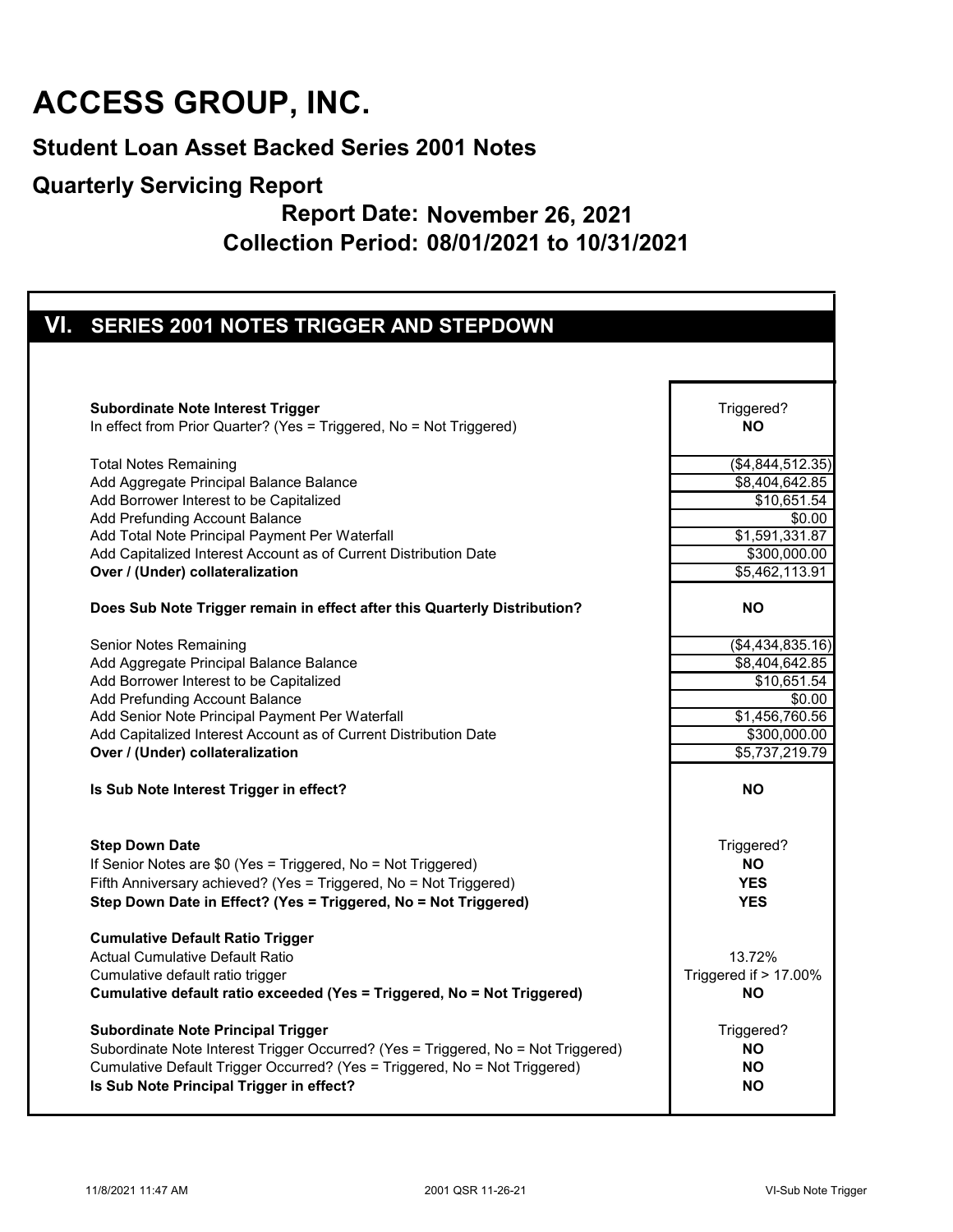#### **Student Loan Asset Backed Series 2001 Notes**

#### **Quarterly Servicing Report**

| VI. SERIES 2001 NOTES TRIGGER AND STEPDOWN                                                                                                                                                                                                                                                                                                                                                                                                                   |                                                                                                   |
|--------------------------------------------------------------------------------------------------------------------------------------------------------------------------------------------------------------------------------------------------------------------------------------------------------------------------------------------------------------------------------------------------------------------------------------------------------------|---------------------------------------------------------------------------------------------------|
|                                                                                                                                                                                                                                                                                                                                                                                                                                                              |                                                                                                   |
| <b>Subordinate Note Interest Trigger</b>                                                                                                                                                                                                                                                                                                                                                                                                                     | Triggered?                                                                                        |
| In effect from Prior Quarter? (Yes = Triggered, No = Not Triggered)                                                                                                                                                                                                                                                                                                                                                                                          | <b>NO</b>                                                                                         |
| <b>Total Notes Remaining</b>                                                                                                                                                                                                                                                                                                                                                                                                                                 | (\$4,844,512.35)                                                                                  |
| Add Aggregate Principal Balance Balance                                                                                                                                                                                                                                                                                                                                                                                                                      | \$8,404,642.85                                                                                    |
| Add Borrower Interest to be Capitalized                                                                                                                                                                                                                                                                                                                                                                                                                      | \$10,651.54                                                                                       |
| Add Prefunding Account Balance                                                                                                                                                                                                                                                                                                                                                                                                                               | \$0.00                                                                                            |
| Add Total Note Principal Payment Per Waterfall                                                                                                                                                                                                                                                                                                                                                                                                               | \$1,591,331.87                                                                                    |
| Add Capitalized Interest Account as of Current Distribution Date                                                                                                                                                                                                                                                                                                                                                                                             | \$300,000.00                                                                                      |
| Over / (Under) collateralization                                                                                                                                                                                                                                                                                                                                                                                                                             | \$5,462,113.91                                                                                    |
| Does Sub Note Trigger remain in effect after this Quarterly Distribution?                                                                                                                                                                                                                                                                                                                                                                                    | <b>NO</b>                                                                                         |
| Senior Notes Remaining                                                                                                                                                                                                                                                                                                                                                                                                                                       | (\$4,434,835.16)                                                                                  |
| Add Aggregate Principal Balance Balance                                                                                                                                                                                                                                                                                                                                                                                                                      | $\overline{$8,404,642.85}$                                                                        |
| Add Borrower Interest to be Capitalized                                                                                                                                                                                                                                                                                                                                                                                                                      | \$10,651.54                                                                                       |
| Add Prefunding Account Balance                                                                                                                                                                                                                                                                                                                                                                                                                               | \$0.00                                                                                            |
| Add Senior Note Principal Payment Per Waterfall                                                                                                                                                                                                                                                                                                                                                                                                              | \$1,456,760.56                                                                                    |
| Add Capitalized Interest Account as of Current Distribution Date                                                                                                                                                                                                                                                                                                                                                                                             | \$300,000.00                                                                                      |
| Over / (Under) collateralization                                                                                                                                                                                                                                                                                                                                                                                                                             | \$5,737,219.79                                                                                    |
| Is Sub Note Interest Trigger in effect?                                                                                                                                                                                                                                                                                                                                                                                                                      | <b>NO</b>                                                                                         |
| <b>Step Down Date</b>                                                                                                                                                                                                                                                                                                                                                                                                                                        | Triggered?                                                                                        |
| If Senior Notes are \$0 (Yes = Triggered, No = Not Triggered)                                                                                                                                                                                                                                                                                                                                                                                                | <b>NO</b>                                                                                         |
| Fifth Anniversary achieved? (Yes = Triggered, No = Not Triggered)                                                                                                                                                                                                                                                                                                                                                                                            | <b>YES</b>                                                                                        |
| Step Down Date in Effect? (Yes = Triggered, No = Not Triggered)                                                                                                                                                                                                                                                                                                                                                                                              | <b>YES</b>                                                                                        |
| <b>Cumulative Default Ratio Trigger</b><br><b>Actual Cumulative Default Ratio</b><br>Cumulative default ratio trigger<br>Cumulative default ratio exceeded (Yes = Triggered, No = Not Triggered)<br><b>Subordinate Note Principal Trigger</b><br>Subordinate Note Interest Trigger Occurred? (Yes = Triggered, No = Not Triggered)<br>Cumulative Default Trigger Occurred? (Yes = Triggered, No = Not Triggered)<br>Is Sub Note Principal Trigger in effect? | 13.72%<br>Triggered if > 17.00%<br><b>NO</b><br>Triggered?<br><b>NO</b><br><b>NO</b><br><b>NO</b> |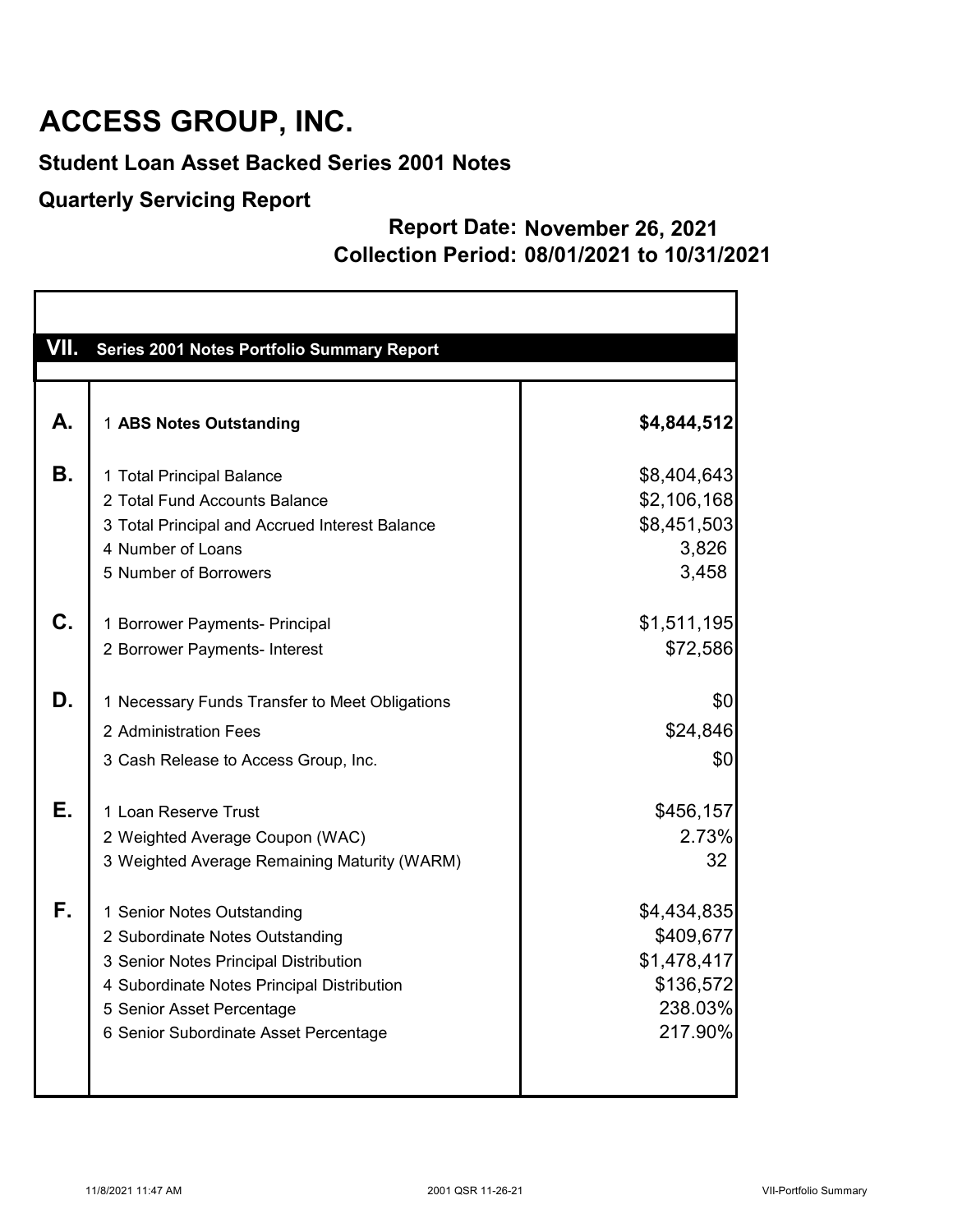#### **Student Loan Asset Backed Series 2001 Notes**

#### **Quarterly Servicing Report**

| Series 2001 Notes Portfolio Summary Report                                                                                                                                                                                 |                                                                            |
|----------------------------------------------------------------------------------------------------------------------------------------------------------------------------------------------------------------------------|----------------------------------------------------------------------------|
|                                                                                                                                                                                                                            |                                                                            |
| 1 ABS Notes Outstanding                                                                                                                                                                                                    | \$4,844,512                                                                |
| 1 Total Principal Balance<br>2 Total Fund Accounts Balance                                                                                                                                                                 | \$8,404,643<br>\$2,106,168<br>\$8,451,503                                  |
| 4 Number of Loans<br>5 Number of Borrowers                                                                                                                                                                                 | 3,826<br>3,458                                                             |
| 1 Borrower Payments- Principal<br>2 Borrower Payments- Interest                                                                                                                                                            | \$1,511,195<br>\$72,586                                                    |
| 1 Necessary Funds Transfer to Meet Obligations<br>2 Administration Fees<br>3 Cash Release to Access Group, Inc.                                                                                                            | \$0<br>\$24,846<br>\$0                                                     |
| 1 Loan Reserve Trust<br>2 Weighted Average Coupon (WAC)<br>3 Weighted Average Remaining Maturity (WARM)                                                                                                                    | \$456,157<br>2.73%<br>32                                                   |
| 1 Senior Notes Outstanding<br>2 Subordinate Notes Outstanding<br>3 Senior Notes Principal Distribution<br>4 Subordinate Notes Principal Distribution<br>5 Senior Asset Percentage<br>6 Senior Subordinate Asset Percentage | \$4,434,835<br>\$409,677<br>\$1,478,417<br>\$136,572<br>238.03%<br>217.90% |
|                                                                                                                                                                                                                            | 3 Total Principal and Accrued Interest Balance                             |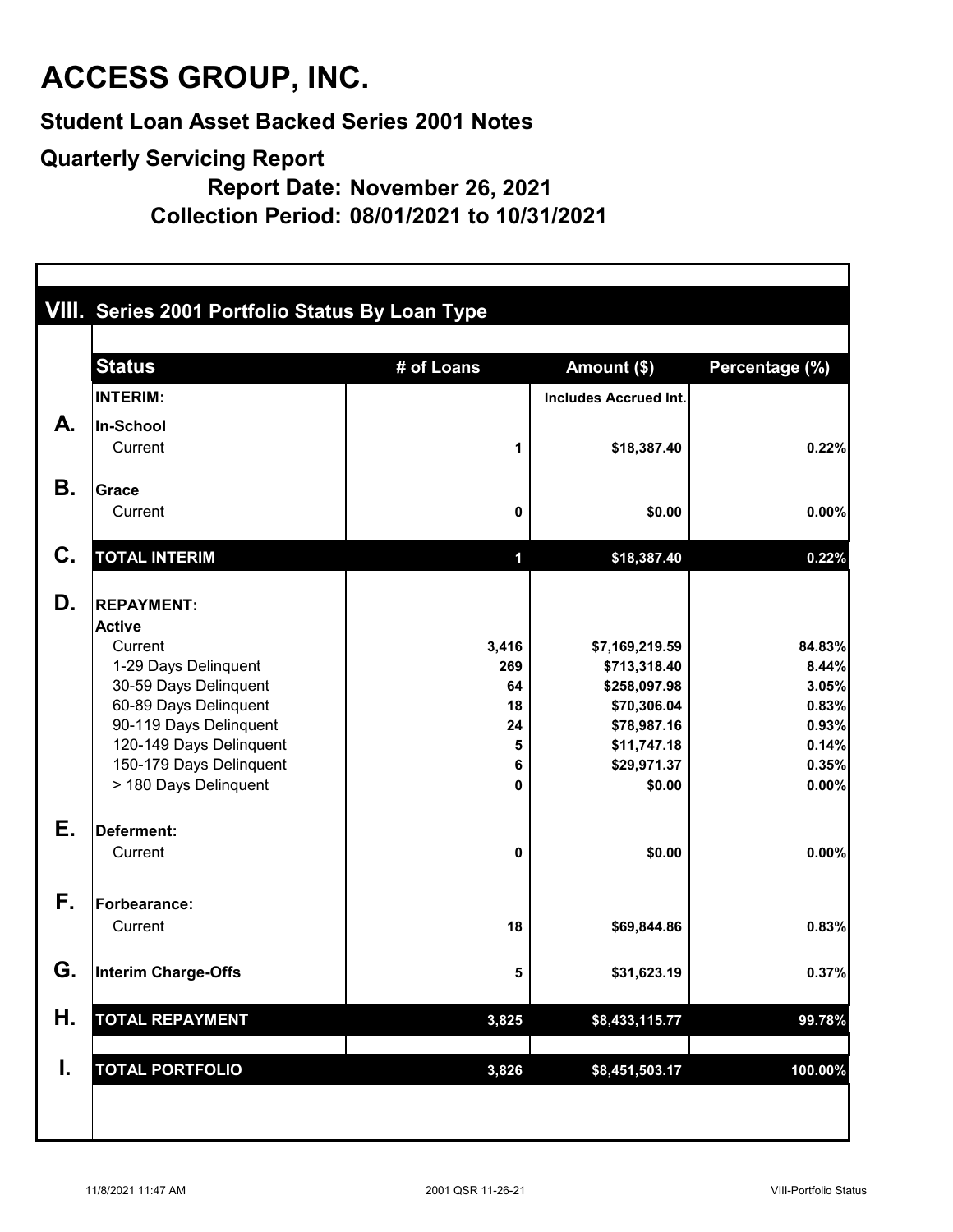**Student Loan Asset Backed Series 2001 Notes**

**Quarterly Servicing Report**

**Report Date: November 26, 2021**

**Collection Period: 08/01/2021 to 10/31/2021**

|           | VIII. Series 2001 Portfolio Status By Loan Type  |             |                              |                |  |  |  |  |
|-----------|--------------------------------------------------|-------------|------------------------------|----------------|--|--|--|--|
|           | <b>Status</b>                                    | # of Loans  | Amount (\$)                  | Percentage (%) |  |  |  |  |
|           | <b>INTERIM:</b>                                  |             | <b>Includes Accrued Int.</b> |                |  |  |  |  |
| А.        | In-School                                        |             |                              |                |  |  |  |  |
|           | Current                                          | 1           | \$18,387.40                  | 0.22%          |  |  |  |  |
| <b>B.</b> | <b>Grace</b>                                     |             |                              |                |  |  |  |  |
|           | Current                                          | 0           | \$0.00                       | 0.00%          |  |  |  |  |
| C.        | <b>TOTAL INTERIM</b>                             | $\mathbf 1$ | \$18,387.40                  | 0.22%          |  |  |  |  |
| D.        | <b>REPAYMENT:</b>                                |             |                              |                |  |  |  |  |
|           | <b>Active</b>                                    |             |                              |                |  |  |  |  |
|           | Current                                          | 3,416       | \$7,169,219.59               | 84.83%         |  |  |  |  |
|           | 1-29 Days Delinquent<br>30-59 Days Delinquent    | 269<br>64   | \$713,318.40<br>\$258,097.98 | 8.44%<br>3.05% |  |  |  |  |
|           | 60-89 Days Delinquent                            | 18          | \$70,306.04                  | 0.83%          |  |  |  |  |
|           | 90-119 Days Delinquent                           | 24          | \$78,987.16                  | 0.93%          |  |  |  |  |
|           | 120-149 Days Delinquent                          | 5           | \$11,747.18                  | 0.14%          |  |  |  |  |
|           | 150-179 Days Delinquent<br>> 180 Days Delinquent | 6<br>0      | \$29,971.37<br>\$0.00        | 0.35%<br>0.00% |  |  |  |  |
| Е.        | Deferment:                                       |             |                              |                |  |  |  |  |
|           | Current                                          | 0           | \$0.00                       | 0.00%          |  |  |  |  |
| F.        | <b>Forbearance:</b>                              |             |                              |                |  |  |  |  |
|           | Current                                          | 18          | \$69,844.86                  | 0.83%          |  |  |  |  |
| G.        | Interim Charge-Offs                              | 5           | \$31,623.19                  | 0.37%          |  |  |  |  |
| Η.        | <b>TOTAL REPAYMENT</b>                           | 3,825       | \$8,433,115.77               | 99.78%         |  |  |  |  |
|           |                                                  |             |                              |                |  |  |  |  |
| I.        | <b>TOTAL PORTFOLIO</b>                           | 3,826       | \$8,451,503.17               | 100.00%        |  |  |  |  |